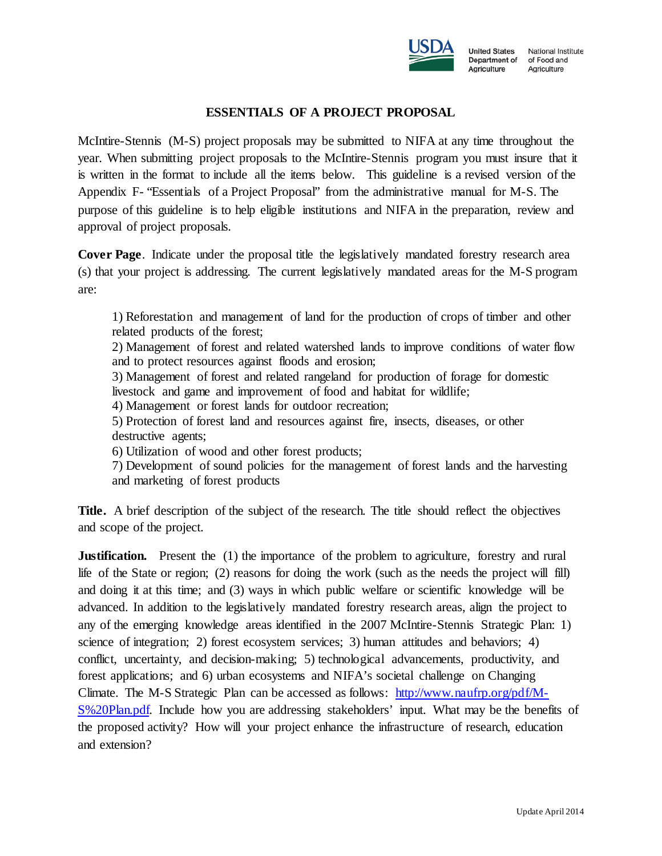

**United States** National Institute Department of of Food and Agriculture Agriculture

## **ESSENTIALS OF A PROJECT PROPOSAL**

McIntire-Stennis (M-S) project proposals may be submitted to NIFA at any time throughout the year. When submitting project proposals to the McIntire-Stennis program you must insure that it is written in the format to include all the items below. This guideline is a revised version of the Appendix F- "Essentials of a Project Proposal" from the administrative manual for M-S. The purpose of this guideline is to help eligible institutions and NIFA in the preparation, review and approval of project proposals.

**Cover Page.** Indicate under the proposal title the legislatively mandated forestry research area (s) that your project is addressing. The current legislatively mandated areas for the M-S program are:

1) Reforestation and management of land for the production of crops of timber and other related products of the forest;

2) Management of forest and related watershed lands to improve conditions of water flow and to protect resources against floods and erosion;

3) Management of forest and related rangeland for production of forage for domestic livestock and game and improvement of food and habitat for wildlife;

4) Management or forest lands for outdoor recreation;

5) Protection of forest land and resources against fire, insects, diseases, or other destructive agents;

6) Utilization of wood and other forest products;

7) Development of sound policies for the management of forest lands and the harvesting and marketing of forest products

**Title.** A brief description of the subject of the research. The title should reflect the objectives and scope of the project.

**Justification.** Present the (1) the importance of the problem to agriculture, forestry and rural life of the State or region; (2) reasons for doing the work (such as the needs the project will fill) and doing it at this time; and (3) ways in which public welfare or scientific knowledge will be advanced. In addition to the legislatively mandated forestry research areas, align the project to any of the emerging knowledge areas identified in the 2007 McIntire-Stennis Strategic Plan: 1) science of integration; 2) forest ecosystem services; 3) human attitudes and behaviors; 4) conflict, uncertainty, and decision-making; 5) technological advancements, productivity, and forest applications; and 6) urban ecosystems and NIFA's societal challenge on Changing Climate. The M-S Strategic Plan can be accessed as follows: [http://www.naufrp.org/pdf/M-](http://www.naufrp.org/pdf/M-S%20Plan.pdf)[S%20Plan.pdf.](http://www.naufrp.org/pdf/M-S%20Plan.pdf) Include how you are addressing stakeholders' input. What may be the benefits of the proposed activity? How will your project enhance the infrastructure of research, education and extension?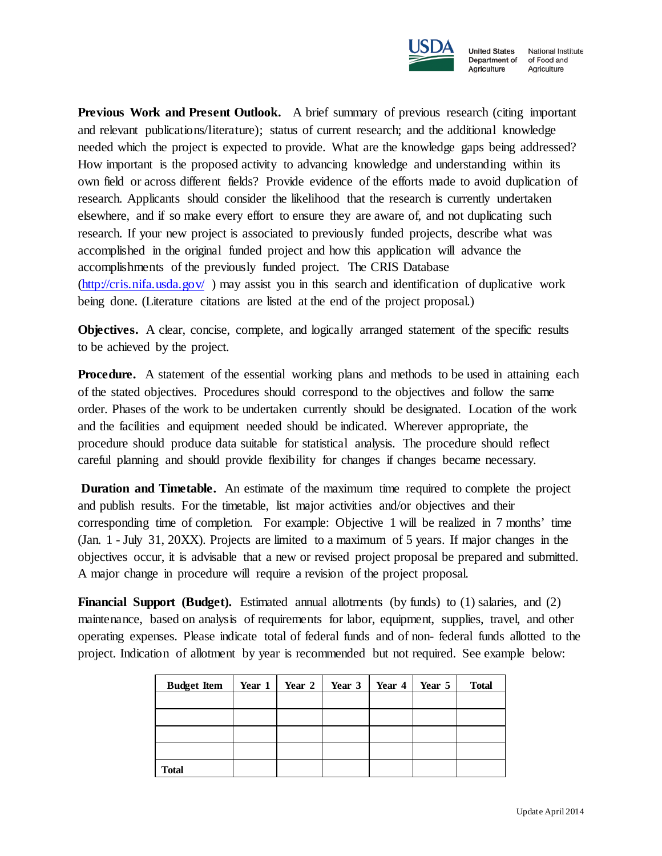

Agriculture

**United States** National Institute Department of of Food and Agriculture

**Previous Work and Present Outlook.** A brief summary of previous research (citing important and relevant publications/literature); status of current research; and the additional knowledge needed which the project is expected to provide. What are the knowledge gaps being addressed? How important is the proposed activity to advancing knowledge and understanding within its own field or across different fields? Provide evidence of the efforts made to avoid duplication of research. Applicants should consider the likelihood that the research is currently undertaken elsewhere, and if so make every effort to ensure they are aware of, and not duplicating such research. If your new project is associated to previously funded projects, describe what was accomplished in the original funded project and how this application will advance the accomplishments of the previously funded project. The CRIS Database  $(\frac{http://cris.nifa.usda.gov/}{http://cris.nifa.usda.gov/})$  may assist you in this search and identification of duplicative work being done. (Literature citations are listed at the end of the project proposal.)

**Objectives.** A clear, concise, complete, and logically arranged statement of the specific results to be achieved by the project.

**Procedure.** A statement of the essential working plans and methods to be used in attaining each of the stated objectives. Procedures should correspond to the objectives and follow the same order. Phases of the work to be undertaken currently should be designated. Location of the work and the facilities and equipment needed should be indicated. Wherever appropriate, the procedure should produce data suitable for statistical analysis. The procedure should reflect careful planning and should provide flexibility for changes if changes became necessary.

**Duration and Timetable.** An estimate of the maximum time required to complete the project and publish results. For the timetable, list major activities and/or objectives and their corresponding time of completion. For example: Objective 1 will be realized in 7 months' time (Jan. 1 - July 31, 20XX). Projects are limited to a maximum of 5 years. If major changes in the objectives occur, it is advisable that a new or revised project proposal be prepared and submitted. A major change in procedure will require a revision of the project proposal.

**Financial Support (Budget).** Estimated annual allotments (by funds) to (1) salaries, and (2) maintenance, based on analysis of requirements for labor, equipment, supplies, travel, and other operating expenses. Please indicate total of federal funds and of non- federal funds allotted to the project. Indication of allotment by year is recommended but not required. See example below:

| <b>Budget Item</b> | Year $1$ Year $2$ | Year 3 | Year 4 | Year 5 | <b>Total</b> |
|--------------------|-------------------|--------|--------|--------|--------------|
|                    |                   |        |        |        |              |
|                    |                   |        |        |        |              |
|                    |                   |        |        |        |              |
|                    |                   |        |        |        |              |
| <b>Total</b>       |                   |        |        |        |              |